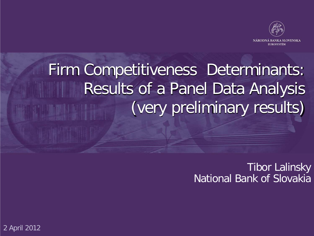

### Firm Competitiveness Determinants: Results of a Panel Data Analysis (very preliminary results)

Tibor Lalinsky National Bank of Slovakia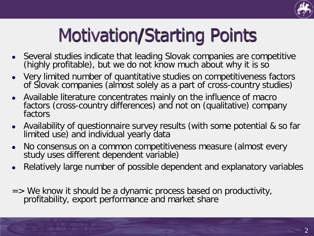

## Motivation/Starting Points

- Several studies indicate that leading Slovak companies are competitive (highly profitable), but we do not know much about why it is so
- Very limited number of quantitative studies on competitiveness factors of Slovak companies (almost solely as a part of cross-country studies)
- Available literature concentrates mainly on the influence of macro factors (cross-country differences) and not on (qualitative) company factors
- Availability of questionnaire survey results (with some potential & so far limited use) and individual yearly data
- No consensus on a common competitiveness measure (almost every study uses different dependent variable)
- Relatively large number of possible dependent and explanatory variables
- $\Rightarrow$  We know it should be a dynamic process based on productivity, profitability, export performance and market share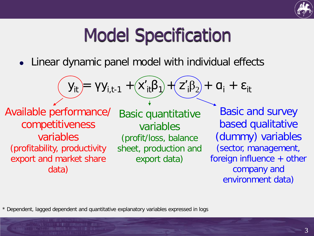

### Model Specification

Linear dynamic panel model with individual effects

| $y_{it}$                                                                                                                                          | $yy_{i,t-1}$                                                           | $x'_{it}B_1$                                                                                                                                        | $z'_{i}B_2$ | $a_i$ | $\varepsilon_{it}$ |
|---------------------------------------------------------------------------------------------------------------------------------------------------|------------------------------------------------------------------------|-----------------------------------------------------------------------------------------------------------------------------------------------------|-------------|-------|--------------------|
| Available performance/ Basic quantitative completeness variables<br>variables<br>(profitability, productivity<br>export and market share<br>data) | Basic and survey<br>variables<br>(profit/loss, balance<br>export data) | Basic and survey<br>based qualitative<br>(dummy) variables<br>(sector, management,<br>foreign influence + other<br>company and<br>environment data) |             |       |                    |

\* Dependent, lagged dependent and quantitative explanatory variables expressed in logs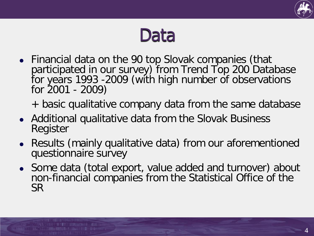

### Data

- Financial data on the 90 top Slovak companies (that participated in our survey) from Trend Top 200 Database for years 1993 -2009 (with high number of observations for 2001 - 2009)
	- + basic qualitative company data from the same database
- Additional qualitative data from the Slovak Business Register
- Results (mainly qualitative data) from our aforementioned questionnaire survey
- Some data (total export, value added and turnover) about non-financial companies from the Statistical Office of the SR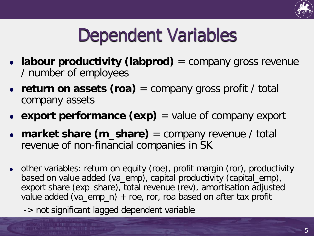

### Dependent Variables

- **labour productivity (labprod)** = company gross revenue / number of employees
- **return on assets (roa)** = company gross profit / total company assets
- **export performance (exp)** = value of company export
- **market share (m\_share)** = company revenue / total revenue of non-financial companies in SK
- other variables: return on equity (roe), profit margin (ror), productivity based on value added (va\_emp), capital productivity (capital\_emp), export share (exp\_share), total revenue (rev), amortisation adjusted value added (va\_emp\_n) + roe, ror, roa based on after tax profit
	- -> not significant lagged dependent variable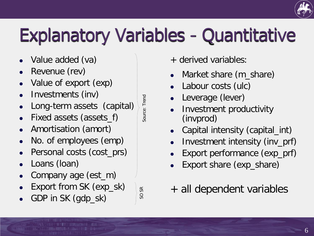# Explanatory Variables - Quantitative

- Value added (va)
- Revenue (rev)
- Value of export (exp)
- Investments (inv)
- Long-term assets (capital)
- Fixed assets (assets\_f)
- Amortisation (amort)
- No. of employees (emp)
- Personal costs (cost\_prs)
- Loans (loan)
- Company age (est\_m)
- Export from SK (exp\_sk)
- GDP in SK (gdp\_sk)

Source: Trend Source: Trend

SO SR

- + derived variables:
- Market share (m\_share)
- Labour costs (ulc)
- Leverage (lever)
- Investment productivity (invprod)
- Capital intensity (capital\_int)
- Investment intensity (inv\_prf)
- Export performance (exp\_prf)
- Export share (exp\_share)
- + all dependent variables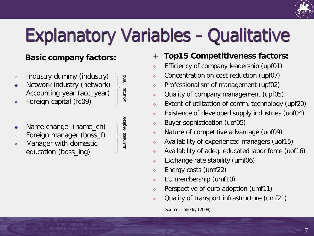

# Explanatory Variables - Qualitative

Source: Trend

Source: Trend

Business Register

**Business Register** 

### **Basic company factors:**

- Industry dummy (industry)
- Network industry (network)
- Accounting year (acc\_year)
- Foreign capital (fc09)
- Name change (name\_ch)
- Foreign manager (boss\_f)
- Manager with domestic education (boss\_ing)

**+ Top15 Competitiveness factors:**

- Efficiency of company leadership (upf01)
- Concentration on cost reduction (upf07)
- Professionalism of management (upf02)
- Quality of company management (upf05)
- Extent of utilization of comm. technology (upf20)
- Existence of developed supply industries (uof04)
- Buyer sophistication (uof05)
- Nature of competitive advantage (uof09)
- Availability of experienced managers (uof15)
- Availability of adeq. educated labor force (uof16)
- Exchange rate stability (umf06)
- Energy costs (umf22)
- EU membership (umf10)
- Perspective of euro adoption (umf11)
- Quality of transport infrastructure (umf21)

Source: Lalinský (2008)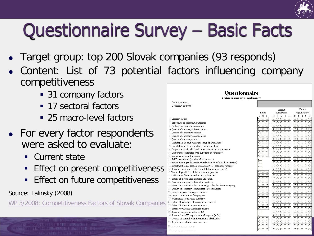

### Questionnaire Survey – Basic Facts

- Target group: top 200 Slovak companies (93 responds)
- Content: List of 73 potential factors influencing company competitiveness
	- 31 company factors
	- 17 sectoral factors
	- 25 macro-level factors
- For every factor respondents were asked to evaluate:
	- Current state
	- Effect on present competitiveness
	- Effect on future competitiveness

Source: Lalinsky (2008)

WP 3/2008: [Competitiveness](http://www.nbs.sk/_img/Documents/PUBLIK/WP_03_2008_Lalinsky_Competitiveness_Factors_Slovak_Companies.pdf) Factors of Slovak Companies

**Ouestionnaire** Factors of company competitiveness Company name: Company address: Future Present Level Significance Significance  $1 \quad 2 \quad 3$  $1 \t 2 \t 3$ 1 Company factors 00000  $\overline{0}$  $\overline{\cap}$ 2 Efficiency of company leadership  $0.0.0$  $000000$  $0<sup>o</sup>$  $000$  $00000$ 3 Professionalism of management ೧೧೧  $\overline{\Omega}$ 4 Ouality of company infrastructure ה הר  $\cap$   $\cap$ 5 Quality of company planning 6 Quality of company management n n n o o o ח חר  $\overline{\circ}$ 7 Quality of company control 8 Orientation on cost reduction (cost of production) 9 Orientation on differentiation from competition  $000$ 10 Corporate relationship with other companies in the sector  $000$ 11 Corporate relationship with suppliers or consumers  $000$ 12 Innovativeness of the company 13 R&D investment (% of total investments) 14 Investment in production modernisation (% of total investments) 15 Investment in production expansion (% of total investments) 16 Share of imports in costs (% of total production costs) o o o  $\cap$   $\cap$ 17 Technological level of the production process  $\overline{\circ}$  $0.00$  $00000$  $\overline{\cap}$ 18 Utilisation of foreign technological licences  $0.0.0$  $00000$ 19 Extent of information systems utilisation  $0.0.0$ 0000C 20 Quality of company information systems 21 Extent of communication technology utilisation in the company  $000$  $00000$ 22 Quality of company communication technologies  $000$  $\overline{\cap}$ 23 Good employee-employer relations  $\overline{0}$ 24 Level of education of employees  $0.00$  $000$ 25 Willingness to delegate authority  $\cap$   $\cap$  $000$  $00000$ 26 Extent of utilisation of motivational rewards  $0.00$ 00000  $\overline{\cap}$ 27 Extent of orientation on customers  $000$  $00000$ 28 Extent to which marketing is utilised 29 Share of exports in sales (in %)  $0.0.0.0$ 30 Share of non-EU exports in total exports (in %) 31 Degree of control over international distribution  $000$  $000$ 32 Significance of after-sale services  $000$ n n n  $\cap$   $\cap$  $\circ$   $\circ$  $\circ$   $\circ$ 33  $\cap$  $0.0.0$  $00000$  $34$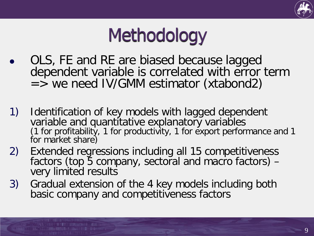

### Methodology

- OLS, FE and RE are biased because lagged dependent variable is correlated with error term  $=$  > we need IV/GMM estimator (xtabond2)
- 1) Identification of key models with lagged dependent variable and quantitative explanatory variables (1 for profitability, 1 for productivity, 1 for export performance and 1 for market share)
- 2) Extended regressions including all 15 competitiveness factors (top 5 company, sectoral and macro factors) - very limited results
- 3) Gradual extension of the 4 key models including both basic company and competitiveness factors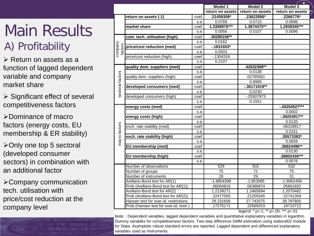### Main Results A) Profitability

 $\triangleright$  Return on assets as a function of lagged dependent variable and company market share

 $\triangleright$  Significant effect of several competitiveness factors

Dominance of macro factors (energy costs, EU membership & ER stability)

 $\triangleright$  Only one top 5 sectoral (developed consumer sectors) in combination with an additional factor

Company communication tech. utilisation with price/cost reduction at the company level

|                                                                                                                                                                                                                                                                                                                                                                                                            |                                        | Model 1 | Model 2          | Model 3          |                  |
|------------------------------------------------------------------------------------------------------------------------------------------------------------------------------------------------------------------------------------------------------------------------------------------------------------------------------------------------------------------------------------------------------------|----------------------------------------|---------|------------------|------------------|------------------|
|                                                                                                                                                                                                                                                                                                                                                                                                            |                                        |         | return on assets | return on assets | return on assets |
|                                                                                                                                                                                                                                                                                                                                                                                                            | return on assets (-1)                  | coef.   | .21459308*       | .23622856*       | .2266776*        |
|                                                                                                                                                                                                                                                                                                                                                                                                            |                                        | s.e.    | 0.0769           | 0.0710           | 0.0696           |
|                                                                                                                                                                                                                                                                                                                                                                                                            | market share                           | coef.   | 1.3358976***     | 1.3874475**      | 1.2939345***     |
|                                                                                                                                                                                                                                                                                                                                                                                                            |                                        | s.e.    | 0.0056           | 0.0107           | 0.0096           |
|                                                                                                                                                                                                                                                                                                                                                                                                            | com. tech. utilisation (high)          | coef.   | .30280156**      |                  |                  |
|                                                                                                                                                                                                                                                                                                                                                                                                            |                                        | s.e     | 0.0162           |                  |                  |
| company<br>factors                                                                                                                                                                                                                                                                                                                                                                                         | price/cost reduction (med)             | coef.   | $-1831653*$      |                  |                  |
|                                                                                                                                                                                                                                                                                                                                                                                                            |                                        | s.e     | 0.0503           |                  |                  |
|                                                                                                                                                                                                                                                                                                                                                                                                            | price/cost reduction (high)            | coef.   | $-0.1304316$     |                  |                  |
|                                                                                                                                                                                                                                                                                                                                                                                                            |                                        | s.e.    | 0.2107           |                  |                  |
|                                                                                                                                                                                                                                                                                                                                                                                                            | quality dom. suppliers (med)           | coef.   |                  | .42632368**      |                  |
|                                                                                                                                                                                                                                                                                                                                                                                                            |                                        | s.e.    |                  | 0.0138           |                  |
|                                                                                                                                                                                                                                                                                                                                                                                                            | quality dom. suppliers (high)          | coef.   |                  | .02765561        |                  |
|                                                                                                                                                                                                                                                                                                                                                                                                            |                                        | s.e.    |                  | 0.8995           |                  |
| sectoral factors                                                                                                                                                                                                                                                                                                                                                                                           | developed consumers (med)              | coef.   |                  | $-0.36171919**$  |                  |
|                                                                                                                                                                                                                                                                                                                                                                                                            |                                        | s.e.    |                  | 0.0230           |                  |
|                                                                                                                                                                                                                                                                                                                                                                                                            | developed consumers (high)             | coef.   |                  | $-0.25507973$    |                  |
|                                                                                                                                                                                                                                                                                                                                                                                                            |                                        | s.e.    |                  | 0.1551           |                  |
|                                                                                                                                                                                                                                                                                                                                                                                                            | energy costs (med)                     | coef.   |                  |                  | $-45254527***$   |
|                                                                                                                                                                                                                                                                                                                                                                                                            |                                        | s.e.    |                  |                  | 0.0002           |
|                                                                                                                                                                                                                                                                                                                                                                                                            | energy costs (high)                    | coef.   |                  |                  | $-0.39253917**$  |
|                                                                                                                                                                                                                                                                                                                                                                                                            |                                        | s.e.    |                  |                  | 0.0135           |
|                                                                                                                                                                                                                                                                                                                                                                                                            | exch. rate stability (med)             | coef.   |                  |                  | .06318917        |
|                                                                                                                                                                                                                                                                                                                                                                                                            |                                        | s.e.    |                  |                  | 0.5331           |
|                                                                                                                                                                                                                                                                                                                                                                                                            | exch. rate stability (high)            | coef.   |                  |                  | .35573383*       |
| macro factors                                                                                                                                                                                                                                                                                                                                                                                              |                                        | s.e.    |                  |                  | 0.0659           |
|                                                                                                                                                                                                                                                                                                                                                                                                            | EU membership (med)                    | coef.   |                  |                  | .38824496**      |
|                                                                                                                                                                                                                                                                                                                                                                                                            |                                        | s.e.    |                  |                  | 0.0130           |
|                                                                                                                                                                                                                                                                                                                                                                                                            | EU membership (high)                   |         |                  |                  | .38802436***     |
|                                                                                                                                                                                                                                                                                                                                                                                                            |                                        | s.e     |                  |                  | 0.0076           |
|                                                                                                                                                                                                                                                                                                                                                                                                            | Number of observations                 |         | 529              | 502              | 532              |
|                                                                                                                                                                                                                                                                                                                                                                                                            | Number of groups                       |         | 75               | 72               | 75               |
|                                                                                                                                                                                                                                                                                                                                                                                                            | Number of instruments                  |         | 28               | 29               | $\overline{31}$  |
|                                                                                                                                                                                                                                                                                                                                                                                                            | Arellano-Bond test for AR(1)           |         | $-1.8804398$     | $-1.853095$      | $-1.9062458$     |
|                                                                                                                                                                                                                                                                                                                                                                                                            | Prob (Arellano-Bond test for AR(1))    |         | .06004816        | .06386874        | .05661832        |
|                                                                                                                                                                                                                                                                                                                                                                                                            | Arellano-Bond test for AR(2)           |         | 1.2139271        | 1.2465694        | 1.2070482        |
|                                                                                                                                                                                                                                                                                                                                                                                                            | Prob (Arellano-Bond test for AR(2))    |         | .22477555        | .21255545        | .22741359        |
|                                                                                                                                                                                                                                                                                                                                                                                                            | Hansen test for over-id. restrictions  |         | 29.231656        | 27.742075        | 28.797805        |
|                                                                                                                                                                                                                                                                                                                                                                                                            | Prob (Hansen test for over-id. restr.) |         | 17275171         | .22569253        | .18710722        |
| legend: * p<.1; ** p<.05; *** p<.01<br>Note: : Dependent variables, lagged dependent variables and quantitative explanatory variables in logarithm.<br>Dummy variables for competitiveness factors. Two-step difference GMM estimation using xtabond02 module<br>for Stata. Asymptotic robust standard errors are reported. Lagged dependent and differenced explanatory<br>variables used as instruments. |                                        |         |                  |                  |                  |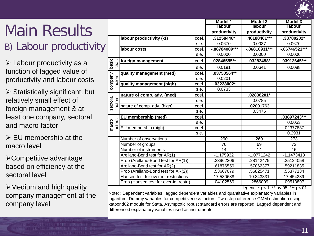

### Main Results B) Labour productivity

 $\triangleright$  Labour productivity as a function of lagged value of productivity and labour costs

 $\triangleright$  Statistically significant, but relatively small effect of foreign management & at least one company, sectoral and macro factor

 $\triangleright$  EU membership at the macro level

Competitive advantage based on efficiency at the sectoral level

 $\triangleright$  Medium and high quality company management at the company level

|                                                                                                                                                                                                                                                                                                                                                  |                                        |       | Model 1         | <b>Model 2</b>   | Model 3          |  |  |
|--------------------------------------------------------------------------------------------------------------------------------------------------------------------------------------------------------------------------------------------------------------------------------------------------------------------------------------------------|----------------------------------------|-------|-----------------|------------------|------------------|--|--|
|                                                                                                                                                                                                                                                                                                                                                  |                                        |       | labour          | <b>labour</b>    | labour           |  |  |
|                                                                                                                                                                                                                                                                                                                                                  |                                        |       | productivity    | productivity     | productivity     |  |  |
|                                                                                                                                                                                                                                                                                                                                                  | labour productivity (-1)               | coef. | .31258446*      | .46188461***     | .33780202*       |  |  |
|                                                                                                                                                                                                                                                                                                                                                  |                                        | s.e.  | 0.0670          | 0.0037           | 0.0670           |  |  |
|                                                                                                                                                                                                                                                                                                                                                  | labour costs                           | coef. | -.88784009***   | $-0.86816931***$ | $-0.86746521***$ |  |  |
|                                                                                                                                                                                                                                                                                                                                                  |                                        | s.e.  | 0.0000          | 0.0000           | 0.0000           |  |  |
| basic<br>char.                                                                                                                                                                                                                                                                                                                                   | foreign management                     | coef. | .02846555**     | .03283458*       | .03912645***     |  |  |
|                                                                                                                                                                                                                                                                                                                                                  |                                        | s.e.  | 0.0191          | 0.0641           | 0.0088           |  |  |
|                                                                                                                                                                                                                                                                                                                                                  | quality management (med)               | coef. | .03750564**     |                  |                  |  |  |
|                                                                                                                                                                                                                                                                                                                                                  |                                        | s.e.  | 0.0201          |                  |                  |  |  |
| company<br>factors                                                                                                                                                                                                                                                                                                                               | quality management (high)              | coef. | .03228002*      |                  |                  |  |  |
|                                                                                                                                                                                                                                                                                                                                                  |                                        | s.e.  | 0.0733          |                  |                  |  |  |
|                                                                                                                                                                                                                                                                                                                                                  | nature of comp. adv. (med)             | coef. |                 | $.02838201*$     |                  |  |  |
|                                                                                                                                                                                                                                                                                                                                                  |                                        | s.e.  |                 | 0.0785           |                  |  |  |
| sectoral<br>factors                                                                                                                                                                                                                                                                                                                              | nature of comp. adv. (high)            | coef. |                 | 02001763         |                  |  |  |
|                                                                                                                                                                                                                                                                                                                                                  |                                        | s.e.  |                 | 0.3475           |                  |  |  |
|                                                                                                                                                                                                                                                                                                                                                  | EU membership (med)                    | coef. |                 |                  | .03897243***     |  |  |
| factors<br>macro                                                                                                                                                                                                                                                                                                                                 |                                        | s.e.  |                 |                  | 0.0053           |  |  |
|                                                                                                                                                                                                                                                                                                                                                  | EU membership (high)                   | coef. |                 |                  | .02377837        |  |  |
|                                                                                                                                                                                                                                                                                                                                                  |                                        | s.e.  |                 |                  | 0.2931           |  |  |
|                                                                                                                                                                                                                                                                                                                                                  | Number of observations                 |       | 290             | 260              | 273              |  |  |
|                                                                                                                                                                                                                                                                                                                                                  | Number of groups                       |       | 76              | 69               | 72               |  |  |
|                                                                                                                                                                                                                                                                                                                                                  | Number of instruments                  |       | $\overline{14}$ | 14               | $\overline{16}$  |  |  |
|                                                                                                                                                                                                                                                                                                                                                  | Arellano-Bond test for AR(1)           |       | $-1.175932$     | $-1.0771242$     | $-1.1473413$     |  |  |
|                                                                                                                                                                                                                                                                                                                                                  | Prob (Arellano-Bond test for AR(1))    |       | .23962206       | .28142479        | .25124058        |  |  |
|                                                                                                                                                                                                                                                                                                                                                  | Arellano-Bond test for AR(2)           |       | .61876559       | .57062377        | .59211835        |  |  |
|                                                                                                                                                                                                                                                                                                                                                  | Prob (Arellano-Bond test for AR(2))    |       | .53607079       | .56825471        | .55377134        |  |  |
|                                                                                                                                                                                                                                                                                                                                                  | Hansen test for over-id. restrictions  |       | 17.530688       | 10.843331        | 17.454239        |  |  |
|                                                                                                                                                                                                                                                                                                                                                  | Prob (Hansen test for over-id. restr.) |       | .04102569       | .2866009         | .09513897        |  |  |
| legend: * p<.1; ** p<.05; *** p<.01<br>Note: : Dependent variables, lagged dependent variables and quantitative explanatory variables in<br>logarithm. Dummy variables for competitiveness factors. Two-step difference GMM estimation using<br>xtabond02 module for Stata. Asymptotic robust standard errors are reported. Lagged dependent and |                                        |       |                 |                  |                  |  |  |
| differenced explanatory variables used as instruments.                                                                                                                                                                                                                                                                                           |                                        |       |                 |                  |                  |  |  |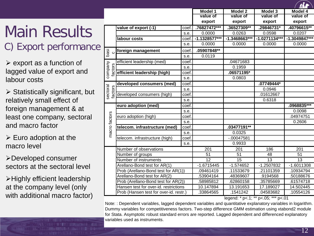### Main Results

C) Export performance

 $\triangleright$  export as a function of lagged value of export and labour costs

 $\triangleright$  Statistically significant, but relatively small effect of foreign management & at least one company, sectoral and macro factor

 $\triangleright$  Euro adoption at the macro level

Developed consumer sectors at the sectoral level

 $\triangleright$  Highly efficient leadership at the company level (only with additional macro factor)

|                     |                                        |       | Model 1         | Model 2         | Model 3         | Model 4          |
|---------------------|----------------------------------------|-------|-----------------|-----------------|-----------------|------------------|
|                     |                                        |       | value of        | value of        | value of        | value of         |
|                     |                                        |       | export          | export          | export          | export           |
|                     | value of export (-1)                   | coef. | .76827472***    | .36527309**     | .29846731*      | .40796615**      |
|                     |                                        | s.e.  | 0.0000          | 0.0263          | 0.0598          | 0.0207           |
|                     | labour costs                           | coef. | $-1.1328577***$ | $-1.3468663***$ | $-1.0271134***$ | $-1.3049847***$  |
|                     |                                        | s.e.  | 0.0000          | 0.0000          | 0.0000          | 0.0000           |
| basi<br>$\circ$     | foreign management                     | coef. | .05907848**     |                 |                 |                  |
|                     |                                        | s.e.  | 0.0119          |                 |                 |                  |
|                     | efficient leadership (med)             | coef. |                 | .04671683       |                 |                  |
|                     |                                        | s.e.  |                 | 0.1959          |                 |                  |
| company<br>factors  | efficient leadership (high)            | coef. |                 | .06571195*      |                 |                  |
|                     |                                        | s.e.  |                 | 0.0803          |                 |                  |
|                     | developed consumers (med)              | coef. |                 |                 | .07749444*      |                  |
| sectoral<br>factors |                                        | s.e.  |                 |                 | 0.0946          |                  |
|                     | developed consumers (high)             | coef. |                 |                 | .01612667       |                  |
|                     |                                        | s.e.  |                 |                 | 0.6318          |                  |
|                     | euro adoption (med)                    | coef. |                 |                 |                 | .0968835***      |
|                     |                                        | s.e.  |                 |                 |                 | 0.0098           |
| macro factors       | euro adoption (high)                   | coef. |                 |                 |                 | 04974751         |
|                     |                                        | s.e.  |                 |                 |                 | 0.2606           |
|                     | telecom. infrastructure (med)          | coef. |                 | .03477191**     |                 |                  |
|                     |                                        | s.e.  |                 | 0.0325          |                 |                  |
|                     | telecom. infrastructure (high)         | coef. |                 | $-00047581$     |                 |                  |
|                     |                                        | s.e.  |                 | 0.9933          |                 |                  |
|                     | Number of observations                 |       | 201             | 201             | 186             | $\overline{201}$ |
|                     | Number of groups                       |       | 51              | 51              | 48              | 51               |
|                     | Number of instruments                  |       | 12              | 15              | 13              | 13               |
|                     | Arellano-Bond test for AR(1)           |       | $-1.6715445$    | $-1.574652$     | $-1.2507832$    | $-1.6011308$     |
|                     | Prob (Arellano-Bond test for AR(1))    |       | .09461419       | .11533679       | .21101359       | .10934794        |
|                     | Arellano-Bond test for AR(2)           |       | .53904164       | 48369607        | .9194568        | .50188676        |
|                     | Prob (Arellano-Bond test for AR(2))    |       | 58985812        | 62860158        | .35785669       | .61574718        |
|                     | Hansen test for over-id. restrictions  |       | 10.147894       | 13.191653       | 17.189027       | 14.502445        |
|                     | Prob (Hansen test for over-id. restr.) |       | .33864565       | .1541242        | .04583682       | .10554126        |

legend: \* p<.1; \*\* p<.05; \*\*\* p<.01

Note: : Dependent variables, lagged dependent variables and quantitative explanatory variables in logarithm. Dummy variables for competitiveness factors. Two-step difference GMM estimation using xtabond2 module for Stata. Asymptotic robust standard errors are reported. Lagged dependent and differenced explanatory variables used as instruments.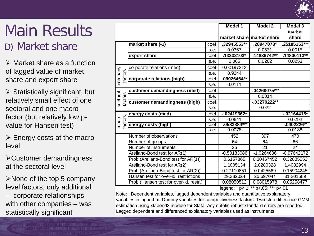

### Main Results

D) Market share

 Market share as a function of lagged value of market share and export share

 $\triangleright$  Statistically significant, but relatively small effect of one sectoral and one macro factor (but relatively low pvalue for Hansen test)

 $\triangleright$  Energy costs at the macro level

Customer demandingness at the sectoral level

 $\triangleright$  None of the top 5 company level factors, only additional – corporate relationships with other companies – was statistically significant

|                                                                                                                                                                                                                                                                                                                           |                                        |       | <b>Model 1</b>  | Model 2                   | <b>Model 3</b> |  |
|---------------------------------------------------------------------------------------------------------------------------------------------------------------------------------------------------------------------------------------------------------------------------------------------------------------------------|----------------------------------------|-------|-----------------|---------------------------|----------------|--|
|                                                                                                                                                                                                                                                                                                                           |                                        |       |                 |                           | market         |  |
|                                                                                                                                                                                                                                                                                                                           |                                        |       |                 | market share market share | share          |  |
|                                                                                                                                                                                                                                                                                                                           | market share (-1)                      | coef. | .32945553**     | .28947073*                | .25185153**    |  |
|                                                                                                                                                                                                                                                                                                                           |                                        | s.e.  | 0.0367          | 0.0531                    | 0.0015         |  |
|                                                                                                                                                                                                                                                                                                                           | export share                           | coef. | .13332103*      | .14836742**               | $.14800113**$  |  |
|                                                                                                                                                                                                                                                                                                                           |                                        | s.e.  | 0.065           | 0.0262                    | 0.0253         |  |
|                                                                                                                                                                                                                                                                                                                           | corporate relations (med)              | coef. | 0.00197313      |                           |                |  |
|                                                                                                                                                                                                                                                                                                                           |                                        | s.e.  | 0.9244          |                           |                |  |
| company<br>factors                                                                                                                                                                                                                                                                                                        | corporate relations (high)             | coef. | $.09026464**$   |                           |                |  |
|                                                                                                                                                                                                                                                                                                                           |                                        | s.e.  | 0.0111          |                           |                |  |
|                                                                                                                                                                                                                                                                                                                           | customer demandingness (med)           | coef. |                 | $-04260075***$            |                |  |
| sectoral<br>factors                                                                                                                                                                                                                                                                                                       |                                        | s.e.  |                 | 0.0014                    |                |  |
|                                                                                                                                                                                                                                                                                                                           | customer demandingness (high)          | coef. |                 | $-0.03270222**$           |                |  |
|                                                                                                                                                                                                                                                                                                                           |                                        | s.e.  |                 | 0.022                     |                |  |
|                                                                                                                                                                                                                                                                                                                           | energy costs (med)                     | coef. | $-0.02419362*$  |                           | $-02164415*$   |  |
| factors<br>macro                                                                                                                                                                                                                                                                                                          |                                        | s.e.  | 0.0641          |                           | 0.0793         |  |
|                                                                                                                                                                                                                                                                                                                           | energy costs (high)                    | coef. | $-0.0583884***$ |                           | $-0.0402226**$ |  |
|                                                                                                                                                                                                                                                                                                                           |                                        | s.e.  | 0.0078          |                           | 0.0188         |  |
|                                                                                                                                                                                                                                                                                                                           | Number of observations                 |       | 452             | 397                       | 470            |  |
|                                                                                                                                                                                                                                                                                                                           | Number of groups                       |       | 64              | 64                        | 66             |  |
|                                                                                                                                                                                                                                                                                                                           | Number of instruments                  |       | 26              | 21                        | 24             |  |
|                                                                                                                                                                                                                                                                                                                           | Arellano-Bond test for AR(1)           |       | $-0.50183086$   | $-1.0264606$              | $-0.97642172$  |  |
|                                                                                                                                                                                                                                                                                                                           | Prob (Arellano-Bond test for AR(1))    |       | 0.6157865       | 0.30467452                | 0.32885552     |  |
|                                                                                                                                                                                                                                                                                                                           | Arellano-Bond test for AR(2)           |       | 1.1005134       | 2.0280328                 | 1.4082994      |  |
|                                                                                                                                                                                                                                                                                                                           | Prob (Arellano-Bond test for AR(2))    |       | 0.27110851      | 0.0425569                 | 0.15904245     |  |
|                                                                                                                                                                                                                                                                                                                           | Hansen test for over-id. restrictions  |       | 29.382024       | 25.697044                 | 31.201589      |  |
|                                                                                                                                                                                                                                                                                                                           | Prob (Hansen test for over-id. restr.) |       | 0.08050512      | 0.08015978                | 0.05258477     |  |
| legend: * p<.1; ** p<.05; *** p<.01<br>Note:: Dependent variables, lagged dependent variables and quantitative explanatory<br>variables in logarithm. Dummy variables for competitiveness factors. Two-step difference GMM<br>estimation using xtabond2 module for Stata. Asymptotic robust standard errors are reported. |                                        |       |                 |                           |                |  |
| Lagged dependent and differenced explanatory variables used as instruments.                                                                                                                                                                                                                                               |                                        |       |                 |                           |                |  |